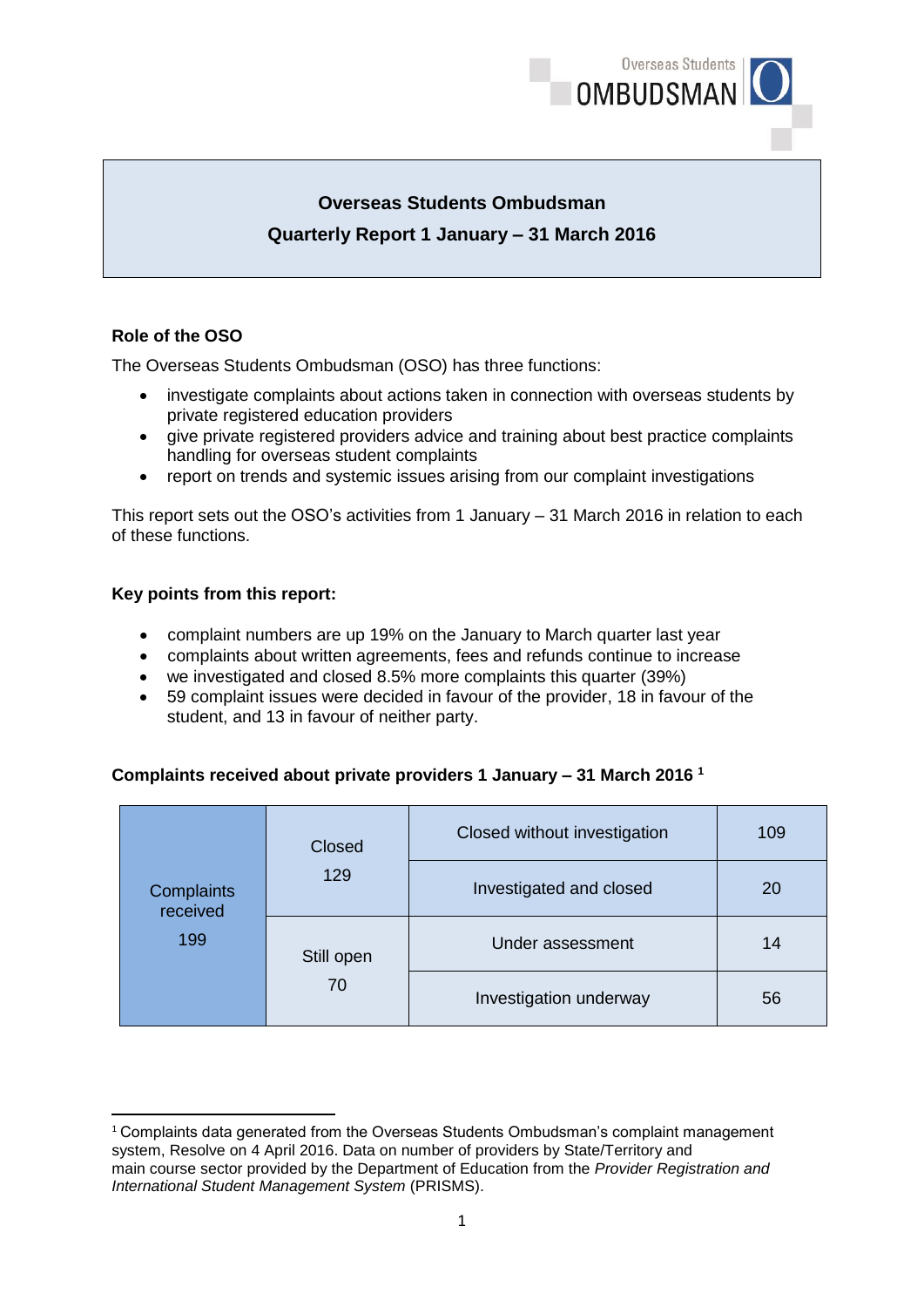

# **Overseas Students Ombudsman Quarterly Report 1 January – 31 March 2016**

# **Role of the OSO**

The Overseas Students Ombudsman (OSO) has three functions:

- investigate complaints about actions taken in connection with overseas students by private registered education providers
- give private registered providers advice and training about best practice complaints handling for overseas student complaints
- report on trends and systemic issues arising from our complaint investigations

This report sets out the OSO's activities from 1 January – 31 March 2016 in relation to each of these functions.

#### **Key points from this report:**

**.** 

- complaint numbers are up 19% on the January to March quarter last year
- complaints about written agreements, fees and refunds continue to increase
- we investigated and closed 8.5% more complaints this quarter (39%)
- 59 complaint issues were decided in favour of the provider, 18 in favour of the student, and 13 in favour of neither party.

#### **Complaints received about private providers 1 January – 31 March 2016 1**

| <b>Complaints</b><br>received<br>199 | Closed     | Closed without investigation | 109 |
|--------------------------------------|------------|------------------------------|-----|
|                                      | 129        | Investigated and closed      | 20  |
|                                      | Still open | Under assessment             | 14  |
|                                      | 70         | Investigation underway       | 56  |

 $1$  Complaints data generated from the Overseas Students Ombudsman's complaint management system, Resolve on 4 April 2016. Data on number of providers by State/Territory and main course sector provided by the Department of Education from the *Provider Registration and International Student Management System* (PRISMS).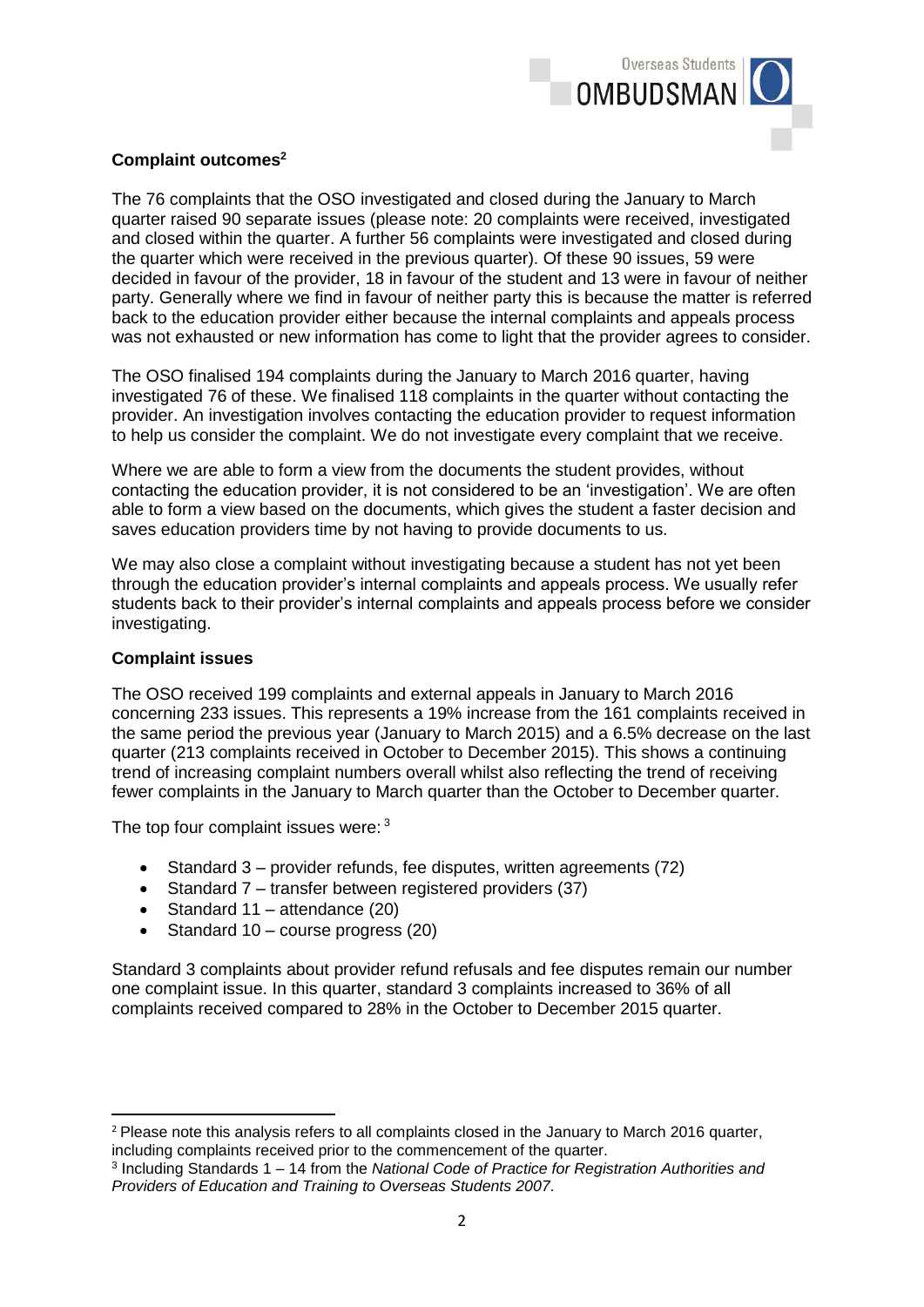

## **Complaint outcomes<sup>2</sup>**

The 76 complaints that the OSO investigated and closed during the January to March quarter raised 90 separate issues (please note: 20 complaints were received, investigated and closed within the quarter. A further 56 complaints were investigated and closed during the quarter which were received in the previous quarter). Of these 90 issues, 59 were decided in favour of the provider, 18 in favour of the student and 13 were in favour of neither party. Generally where we find in favour of neither party this is because the matter is referred back to the education provider either because the internal complaints and appeals process was not exhausted or new information has come to light that the provider agrees to consider.

The OSO finalised 194 complaints during the January to March 2016 quarter, having investigated 76 of these. We finalised 118 complaints in the quarter without contacting the provider. An investigation involves contacting the education provider to request information to help us consider the complaint. We do not investigate every complaint that we receive.

Where we are able to form a view from the documents the student provides, without contacting the education provider, it is not considered to be an 'investigation'. We are often able to form a view based on the documents, which gives the student a faster decision and saves education providers time by not having to provide documents to us.

We may also close a complaint without investigating because a student has not yet been through the education provider's internal complaints and appeals process. We usually refer students back to their provider's internal complaints and appeals process before we consider investigating.

#### **Complaint issues**

The OSO received 199 complaints and external appeals in January to March 2016 concerning 233 issues. This represents a 19% increase from the 161 complaints received in the same period the previous year (January to March 2015) and a 6.5% decrease on the last quarter (213 complaints received in October to December 2015). This shows a continuing trend of increasing complaint numbers overall whilst also reflecting the trend of receiving fewer complaints in the January to March quarter than the October to December quarter.

The top four complaint issues were: 3

- $\bullet$  Standard 3 provider refunds, fee disputes, written agreements (72)
- Standard 7 transfer between registered providers (37)
- Standard 11 attendance (20)
- $\bullet$  Standard 10 course progress (20)

Standard 3 complaints about provider refund refusals and fee disputes remain our number one complaint issue. In this quarter, standard 3 complaints increased to 36% of all complaints received compared to 28% in the October to December 2015 quarter.

**<sup>.</sup>** <sup>2</sup> Please note this analysis refers to all complaints closed in the January to March 2016 quarter, including complaints received prior to the commencement of the quarter.

<sup>3</sup> Including Standards 1 – 14 from the *National Code of Practice for Registration Authorities and Providers of Education and Training to Overseas Students 2007.*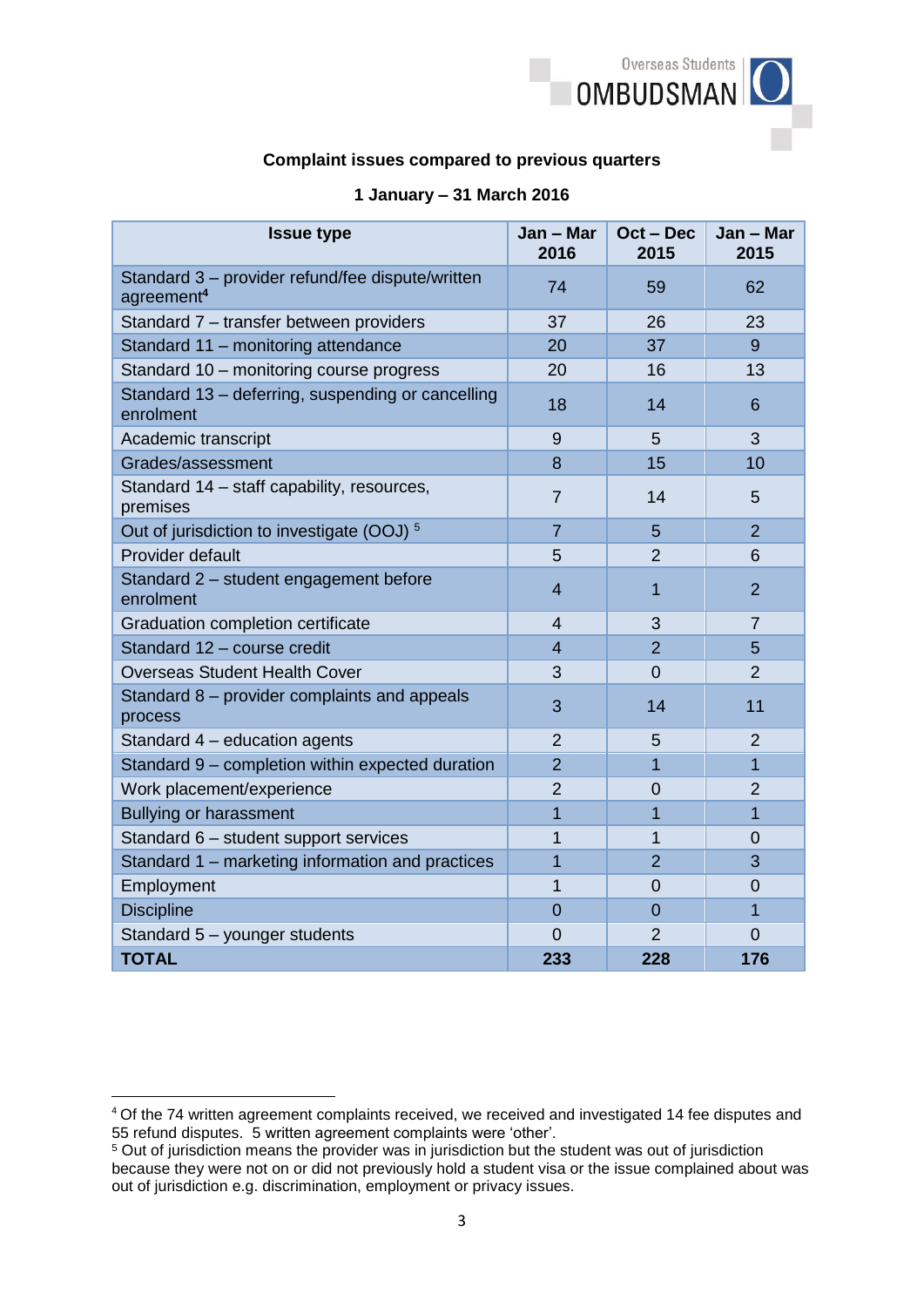

### **Complaint issues compared to previous quarters**

| <b>Issue type</b>                                                          | Jan - Mar<br>2016 | Oct - Dec<br>2015 | Jan - Mar<br>2015 |
|----------------------------------------------------------------------------|-------------------|-------------------|-------------------|
| Standard 3 - provider refund/fee dispute/written<br>agreement <sup>4</sup> | 74                | 59                | 62                |
| Standard 7 - transfer between providers                                    | 37                | 26                | 23                |
| Standard 11 - monitoring attendance                                        | 20                | 37                | 9                 |
| Standard 10 - monitoring course progress                                   | 20                | 16                | 13                |
| Standard 13 - deferring, suspending or cancelling<br>enrolment             | 18                | 14                | 6                 |
| Academic transcript                                                        | 9                 | 5                 | 3                 |
| Grades/assessment                                                          | 8                 | 15                | 10                |
| Standard 14 - staff capability, resources,<br>premises                     | 7                 | 14                | 5                 |
| Out of jurisdiction to investigate (OOJ) <sup>5</sup>                      | $\overline{7}$    | 5                 | $\overline{2}$    |
| Provider default                                                           | 5                 | $\overline{2}$    | 6                 |
| Standard 2 - student engagement before<br>enrolment                        | 4                 | 1                 | $\overline{2}$    |
| Graduation completion certificate                                          | 4                 | 3                 | $\overline{7}$    |
| Standard 12 - course credit                                                | 4                 | $\overline{2}$    | 5                 |
| <b>Overseas Student Health Cover</b>                                       | 3                 | $\overline{0}$    | $\overline{2}$    |
| Standard 8 - provider complaints and appeals<br>process                    | 3                 | 14                | 11                |
| Standard 4 - education agents                                              | $\overline{2}$    | 5                 | $\overline{2}$    |
| Standard 9 - completion within expected duration                           | $\overline{2}$    | $\overline{1}$    | $\overline{1}$    |
| Work placement/experience                                                  | $\overline{2}$    | 0                 | $\overline{2}$    |
| <b>Bullying or harassment</b>                                              | 1                 | 1                 | $\mathbf{1}$      |
| Standard 6 - student support services                                      | 1                 | 1                 | 0                 |
| Standard 1 - marketing information and practices                           | $\overline{1}$    | $\overline{2}$    | 3                 |
| Employment                                                                 | 1                 | $\overline{0}$    | $\overline{0}$    |
| <b>Discipline</b>                                                          | 0                 | 0                 | 1                 |
| Standard 5 - younger students                                              | $\overline{0}$    | $\overline{2}$    | 0                 |
| <b>TOTAL</b>                                                               | 233               | 228               | 176               |

## **1 January – 31 March 2016**

1

<sup>&</sup>lt;sup>4</sup> Of the 74 written agreement complaints received, we received and investigated 14 fee disputes and 55 refund disputes. 5 written agreement complaints were 'other'.

<sup>&</sup>lt;sup>5</sup> Out of jurisdiction means the provider was in jurisdiction but the student was out of jurisdiction because they were not on or did not previously hold a student visa or the issue complained about was out of jurisdiction e.g. discrimination, employment or privacy issues.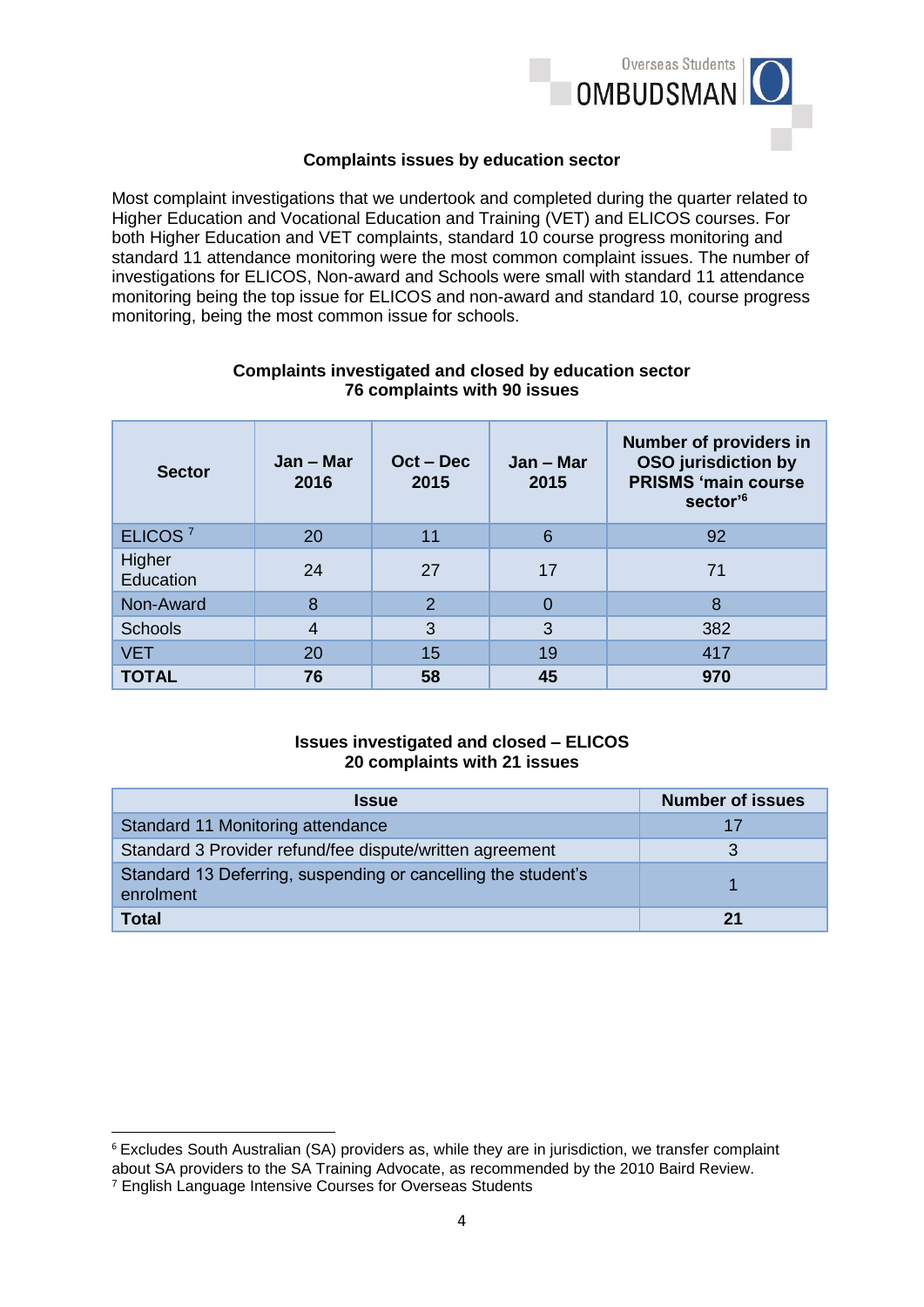

## **Complaints issues by education sector**

Most complaint investigations that we undertook and completed during the quarter related to Higher Education and Vocational Education and Training (VET) and ELICOS courses. For both Higher Education and VET complaints, standard 10 course progress monitoring and standard 11 attendance monitoring were the most common complaint issues. The number of investigations for ELICOS, Non-award and Schools were small with standard 11 attendance monitoring being the top issue for ELICOS and non-award and standard 10, course progress monitoring, being the most common issue for schools.

| <b>Sector</b>       | Jan – Mar<br>2016 | $Oct - Dec$<br>2015 | Jan – Mar<br>2015 | <b>Number of providers in</b><br><b>OSO</b> jurisdiction by<br><b>PRISMS 'main course</b><br>sector' <sup>6</sup> |
|---------------------|-------------------|---------------------|-------------------|-------------------------------------------------------------------------------------------------------------------|
| ELICOS <sup>7</sup> | 20                | 11                  | 6                 | 92                                                                                                                |
| Higher<br>Education | 24                | 27                  | 17                | 71                                                                                                                |
| Non-Award           | 8                 | $\overline{2}$      | $\Omega$          | 8                                                                                                                 |
| <b>Schools</b>      | $\overline{4}$    | 3                   | 3                 | 382                                                                                                               |
| <b>VET</b>          | 20                | 15                  | 19                | 417                                                                                                               |
| <b>TOTAL</b>        | 76                | 58                  | 45                | 970                                                                                                               |

#### **Complaints investigated and closed by education sector 76 complaints with 90 issues**

# **Issues investigated and closed – ELICOS 20 complaints with 21 issues**

| <b>Issue</b>                                                               | <b>Number of issues</b> |
|----------------------------------------------------------------------------|-------------------------|
| Standard 11 Monitoring attendance                                          | 17                      |
| Standard 3 Provider refund/fee dispute/written agreement                   |                         |
| Standard 13 Deferring, suspending or cancelling the student's<br>enrolment |                         |
| <b>Total</b>                                                               | 2 <sub>1</sub>          |

**.** 

<sup>6</sup> Excludes South Australian (SA) providers as, while they are in jurisdiction, we transfer complaint about SA providers to the SA Training Advocate, as recommended by the 2010 Baird Review.

<sup>7</sup> English Language Intensive Courses for Overseas Students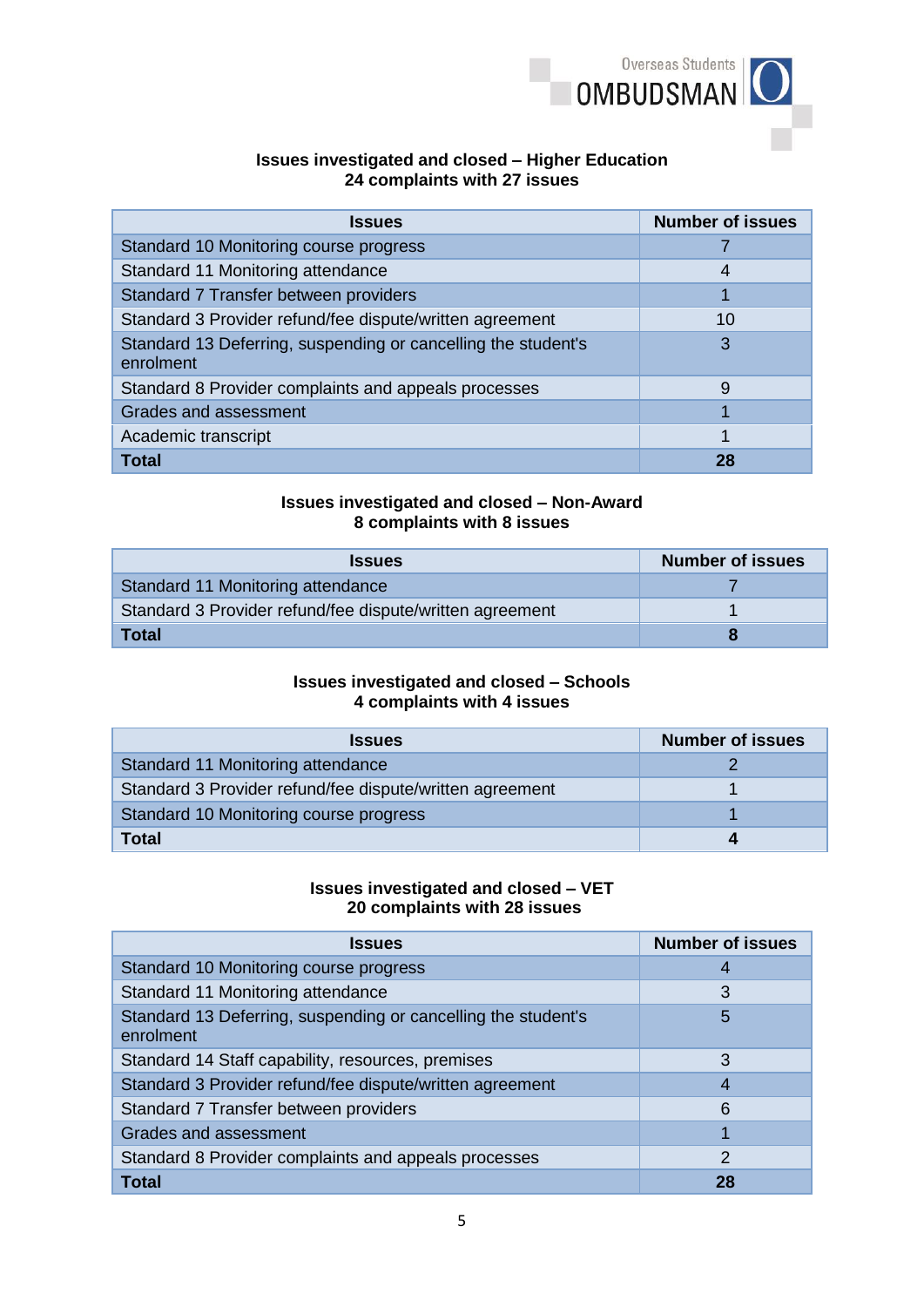

#### **Issues investigated and closed – Higher Education 24 complaints with 27 issues**

| <b>Issues</b>                                                              | <b>Number of issues</b> |
|----------------------------------------------------------------------------|-------------------------|
| Standard 10 Monitoring course progress                                     |                         |
| Standard 11 Monitoring attendance                                          | 4                       |
| Standard 7 Transfer between providers                                      | 1                       |
| Standard 3 Provider refund/fee dispute/written agreement                   | 10                      |
| Standard 13 Deferring, suspending or cancelling the student's<br>enrolment | 3                       |
| Standard 8 Provider complaints and appeals processes                       | 9                       |
| <b>Grades and assessment</b>                                               |                         |
| Academic transcript                                                        | 1                       |
| Total                                                                      | 28                      |

## **Issues investigated and closed – Non-Award 8 complaints with 8 issues**

| <b>Issues</b>                                            | <b>Number of issues</b> |
|----------------------------------------------------------|-------------------------|
| Standard 11 Monitoring attendance                        |                         |
| Standard 3 Provider refund/fee dispute/written agreement |                         |
| <b>Total</b>                                             |                         |

## **Issues investigated and closed – Schools 4 complaints with 4 issues**

| <b>Issues</b>                                            | <b>Number of issues</b> |
|----------------------------------------------------------|-------------------------|
| Standard 11 Monitoring attendance                        |                         |
| Standard 3 Provider refund/fee dispute/written agreement |                         |
| Standard 10 Monitoring course progress                   |                         |
| <b>Total</b>                                             |                         |

#### **Issues investigated and closed – VET 20 complaints with 28 issues**

| <b>Issues</b>                                                              | <b>Number of issues</b> |
|----------------------------------------------------------------------------|-------------------------|
| Standard 10 Monitoring course progress                                     |                         |
| Standard 11 Monitoring attendance                                          | 3                       |
| Standard 13 Deferring, suspending or cancelling the student's<br>enrolment | 5                       |
| Standard 14 Staff capability, resources, premises                          | 3                       |
| Standard 3 Provider refund/fee dispute/written agreement                   |                         |
| Standard 7 Transfer between providers                                      | 6                       |
| Grades and assessment                                                      |                         |
| Standard 8 Provider complaints and appeals processes                       | $\mathcal{P}$           |
| Total                                                                      |                         |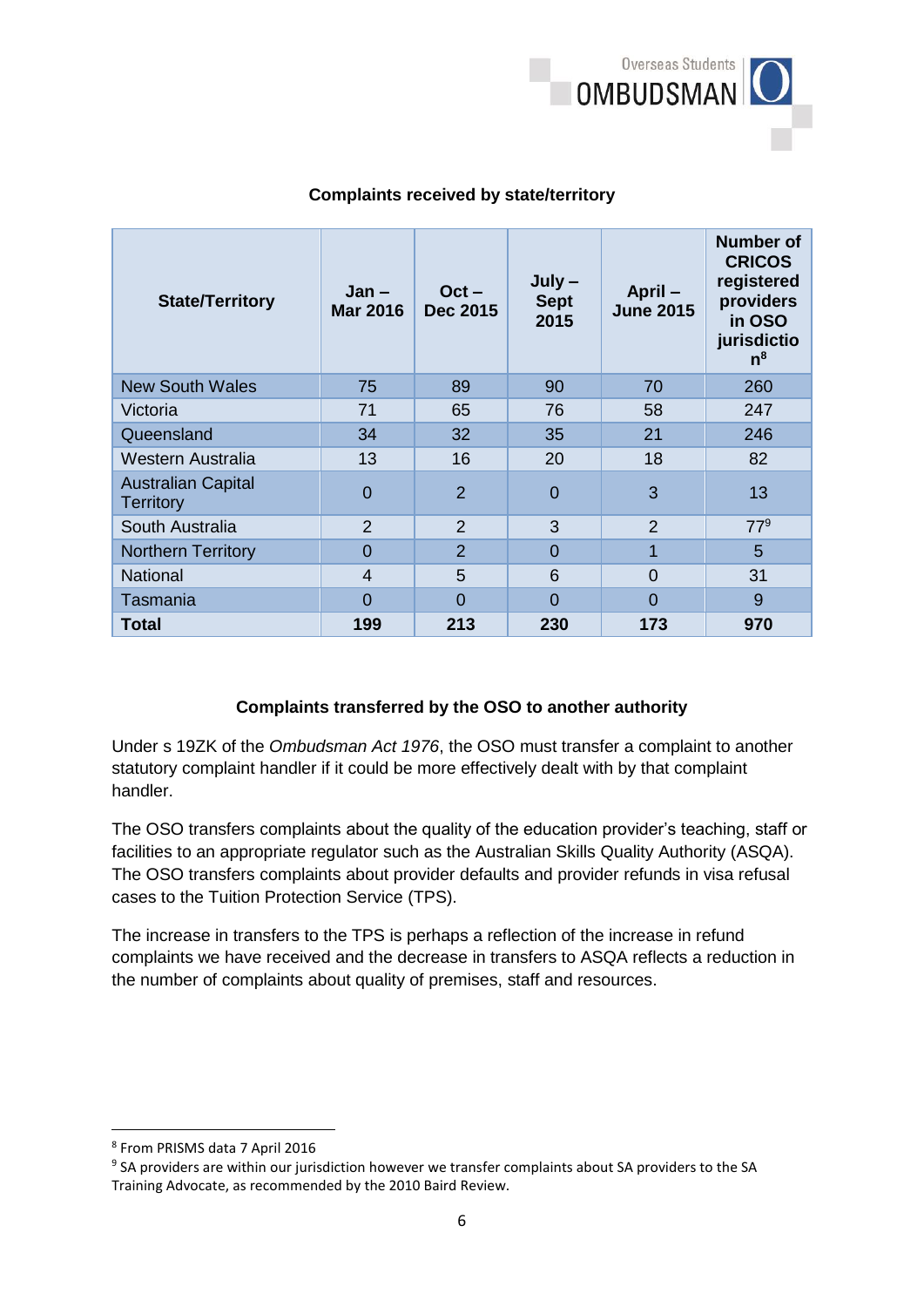

| <b>State/Territory</b>                        | Jan –<br><b>Mar 2016</b> | $Oct -$<br><b>Dec 2015</b> | $July -$<br><b>Sept</b><br>2015 | April-<br><b>June 2015</b> | <b>Number of</b><br><b>CRICOS</b><br>registered<br>providers<br>in OSO<br>jurisdictio<br>$n^8$ |
|-----------------------------------------------|--------------------------|----------------------------|---------------------------------|----------------------------|------------------------------------------------------------------------------------------------|
| <b>New South Wales</b>                        | 75                       | 89                         | 90                              | 70                         | 260                                                                                            |
| Victoria                                      | 71                       | 65                         | 76                              | 58                         | 247                                                                                            |
| Queensland                                    | 34                       | 32                         | 35                              | 21                         | 246                                                                                            |
| Western Australia                             | 13                       | 16                         | 20                              | 18                         | 82                                                                                             |
| <b>Australian Capital</b><br><b>Territory</b> | 0                        | $\overline{2}$             | $\overline{0}$                  | 3                          | 13                                                                                             |
| South Australia                               | $\overline{2}$           | $\overline{2}$             | 3                               | $\overline{2}$             | $77^9$                                                                                         |
| <b>Northern Territory</b>                     | $\Omega$                 | $\overline{2}$             | $\overline{0}$                  | 1                          | 5                                                                                              |
| <b>National</b>                               | 4                        | 5                          | 6                               | 0                          | 31                                                                                             |
| Tasmania                                      | 0                        | $\Omega$                   | $\Omega$                        | $\Omega$                   | 9                                                                                              |
| Total                                         | 199                      | 213                        | 230                             | 173                        | 970                                                                                            |

# **Complaints received by state/territory**

# **Complaints transferred by the OSO to another authority**

Under s 19ZK of the *Ombudsman Act 1976*, the OSO must transfer a complaint to another statutory complaint handler if it could be more effectively dealt with by that complaint handler.

The OSO transfers complaints about the quality of the education provider's teaching, staff or facilities to an appropriate regulator such as the Australian Skills Quality Authority (ASQA). The OSO transfers complaints about provider defaults and provider refunds in visa refusal cases to the Tuition Protection Service (TPS).

The increase in transfers to the TPS is perhaps a reflection of the increase in refund complaints we have received and the decrease in transfers to ASQA reflects a reduction in the number of complaints about quality of premises, staff and resources.

**.** 

<sup>8</sup> From PRISMS data 7 April 2016

<sup>&</sup>lt;sup>9</sup> SA providers are within our jurisdiction however we transfer complaints about SA providers to the SA Training Advocate, as recommended by the 2010 Baird Review.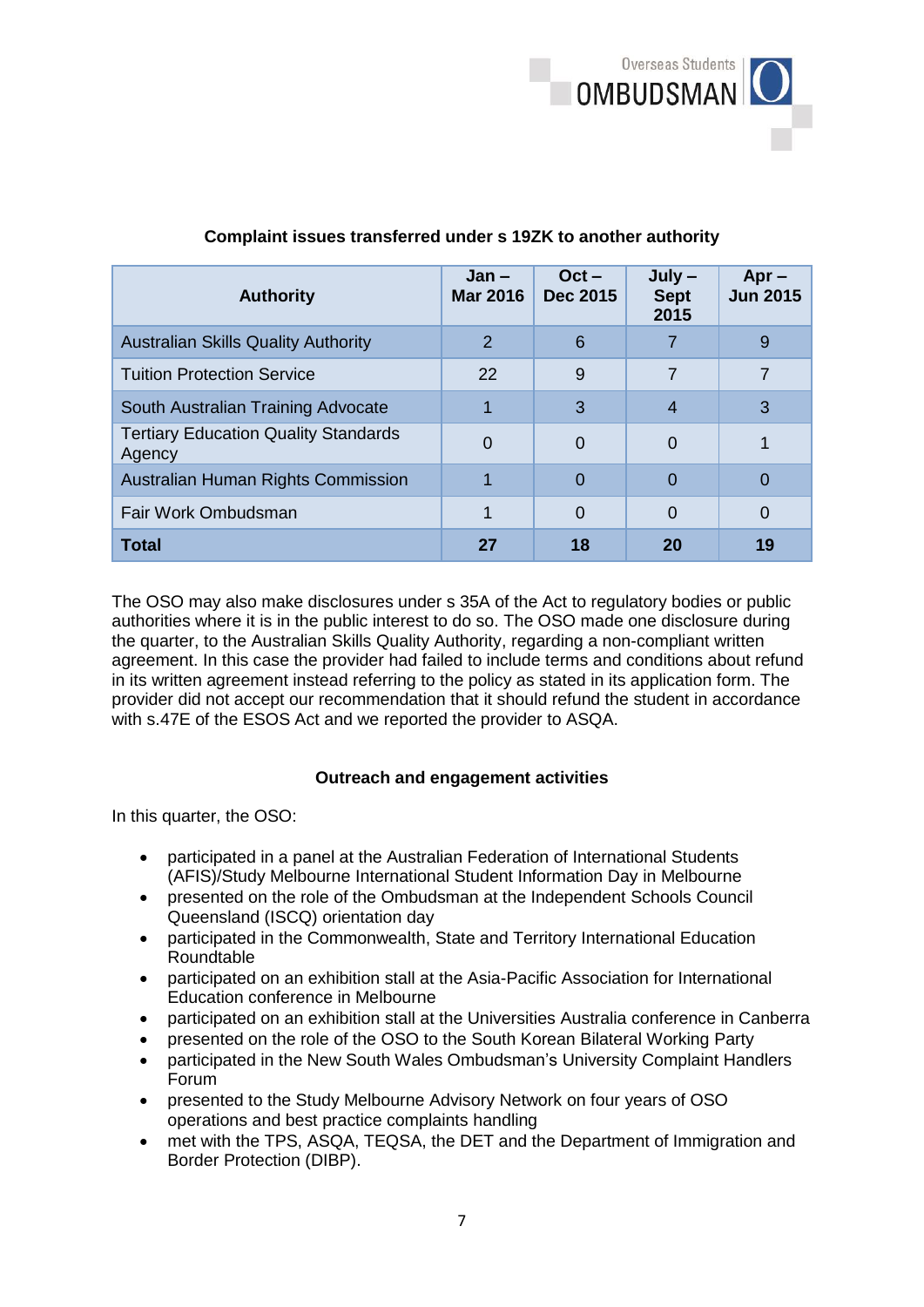

| <b>Authority</b>                                      | Jan –<br><b>Mar 2016</b> | $Oct -$<br>Dec 2015 | $July -$<br><b>Sept</b><br>2015 | $Apr -$<br><b>Jun 2015</b> |
|-------------------------------------------------------|--------------------------|---------------------|---------------------------------|----------------------------|
| <b>Australian Skills Quality Authority</b>            | 2                        | 6                   |                                 | 9                          |
| <b>Tuition Protection Service</b>                     | 22                       | 9                   |                                 |                            |
| South Australian Training Advocate                    |                          | 3                   | 4                               | 3                          |
| <b>Tertiary Education Quality Standards</b><br>Agency | 0                        | 0                   | 0                               |                            |
| Australian Human Rights Commission                    |                          | O                   | 0                               | 0                          |
| Fair Work Ombudsman                                   |                          | 0                   | $\Omega$                        | 0                          |
| <b>Total</b>                                          | 27                       | 18                  | 20                              | 19                         |

## **Complaint issues transferred under s 19ZK to another authority**

The OSO may also make disclosures under s 35A of the Act to regulatory bodies or public authorities where it is in the public interest to do so. The OSO made one disclosure during the quarter, to the Australian Skills Quality Authority, regarding a non-compliant written agreement. In this case the provider had failed to include terms and conditions about refund in its written agreement instead referring to the policy as stated in its application form. The provider did not accept our recommendation that it should refund the student in accordance with s.47E of the ESOS Act and we reported the provider to ASQA.

#### **Outreach and engagement activities**

In this quarter, the OSO:

- participated in a panel at the Australian Federation of International Students (AFIS)/Study Melbourne International Student Information Day in Melbourne
- presented on the role of the Ombudsman at the Independent Schools Council Queensland (ISCQ) orientation day
- participated in the Commonwealth, State and Territory International Education **Roundtable**
- participated on an exhibition stall at the Asia-Pacific Association for International Education conference in Melbourne
- participated on an exhibition stall at the Universities Australia conference in Canberra
- presented on the role of the OSO to the South Korean Bilateral Working Party
- participated in the New South Wales Ombudsman's University Complaint Handlers Forum
- presented to the Study Melbourne Advisory Network on four years of OSO operations and best practice complaints handling
- met with the TPS, ASQA, TEQSA, the DET and the Department of Immigration and Border Protection (DIBP).